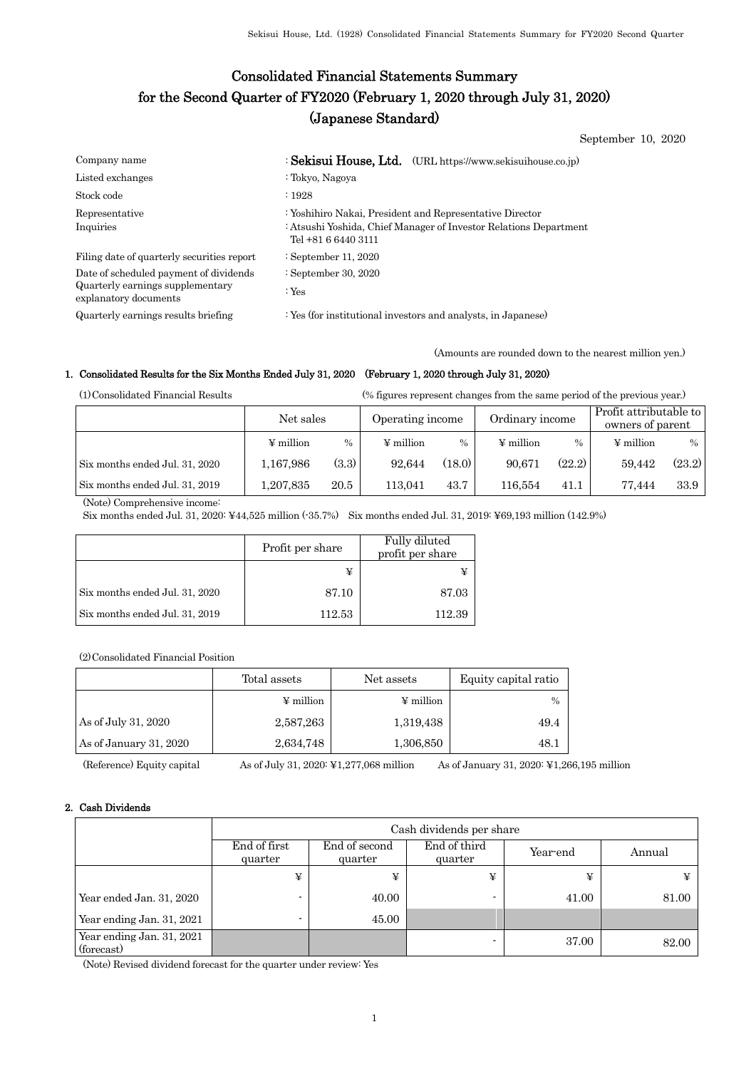# Consolidated Financial Statements Summary for the Second Quarter of FY2020 (February 1, 2020 through July 31, 2020) (Japanese Standard)

September 10, 2020

| Company name                                              | : Sekisui House, Ltd. (URL https://www.sekisuihouse.co.jp)                                                                                           |
|-----------------------------------------------------------|------------------------------------------------------------------------------------------------------------------------------------------------------|
| Listed exchanges                                          | : Tokyo, Nagoya                                                                                                                                      |
| Stock code                                                | : 1928                                                                                                                                               |
| Representative<br>Inquiries                               | : Yoshihiro Nakai, President and Representative Director<br>: Atsushi Yoshida, Chief Manager of Investor Relations Department<br>Tel +81 6 6440 3111 |
| Filing date of quarterly securities report                | : September 11, 2020                                                                                                                                 |
| Date of scheduled payment of dividends                    | : September 30, 2020                                                                                                                                 |
| Quarterly earnings supplementary<br>explanatory documents | : $Yes$                                                                                                                                              |

Quarterly earnings results briefing : Yes (for institutional investors and analysts, in Japanese)

(Amounts are rounded down to the nearest million yen.)

## 1. Consolidated Results for the Six Months Ended July 31, 2020 (February 1, 2020 through July 31, 2020)

(1)Consolidated Financial Results (% figures represent changes from the same period of the previous year.)

|                                | Net sales      |       | Operating income |        | Ordinary income |        | Profit attributable to<br>owners of parent |        |
|--------------------------------|----------------|-------|------------------|--------|-----------------|--------|--------------------------------------------|--------|
|                                | $\Psi$ million | $\%$  | $\Psi$ million   | $\%$   | $\Psi$ million  | $\%$   | $\Psi$ million                             | $\%$   |
| Six months ended Jul. 31, 2020 | 1,167,986      | (3.3) | 92.644           | (18.0) | 90.671          | (22.2) | 59.442                                     | (23.2) |
| Six months ended Jul. 31, 2019 | 1,207,835      | 20.5  | 113.041          | 43.7   | 116,554         | 41.1   | 77.444                                     | 33.9   |

(Note) Comprehensive income:

Six months ended Jul. 31, 2020: ¥44,525 million (-35.7%) Six months ended Jul. 31, 2019: ¥69,193 million (142.9%)

|                                | Profit per share | Fully diluted<br>profit per share |
|--------------------------------|------------------|-----------------------------------|
|                                |                  |                                   |
| Six months ended Jul. 31, 2020 | 87.10            | 87.03                             |
| Six months ended Jul. 31, 2019 | 112.53           | 112.39                            |

(2)Consolidated Financial Position

|                        | Total assets          | Net assets            | Equity capital ratio |  |
|------------------------|-----------------------|-----------------------|----------------------|--|
|                        | $\frac{1}{2}$ million | $\frac{1}{2}$ million | $\%$                 |  |
| As of July 31, 2020    | 2,587,263             | 1,319,438             | 49.4                 |  |
| As of January 31, 2020 | 2,634,748             | 1,306,850             | 48.1                 |  |

(Reference) Equity capital As of July 31, 2020: ¥1,277,068 million As of January 31, 2020: ¥1,266,195 million

## 2. Cash Dividends

|                                         | Cash dividends per share |                          |                         |          |        |  |  |
|-----------------------------------------|--------------------------|--------------------------|-------------------------|----------|--------|--|--|
|                                         | End of first<br>quarter  | End of second<br>quarter | End of third<br>quarter | Year-end | Annual |  |  |
|                                         | ¥                        | ¥                        | ¥                       | ¥        |        |  |  |
| Year ended Jan. 31, 2020                |                          | 40.00                    |                         | 41.00    | 81.00  |  |  |
| Year ending Jan. 31, 2021               |                          | 45.00                    |                         |          |        |  |  |
| Year ending Jan. 31, 2021<br>(forecast) |                          |                          | -                       | 37.00    | 82.00  |  |  |

(Note) Revised dividend forecast for the quarter under review: Yes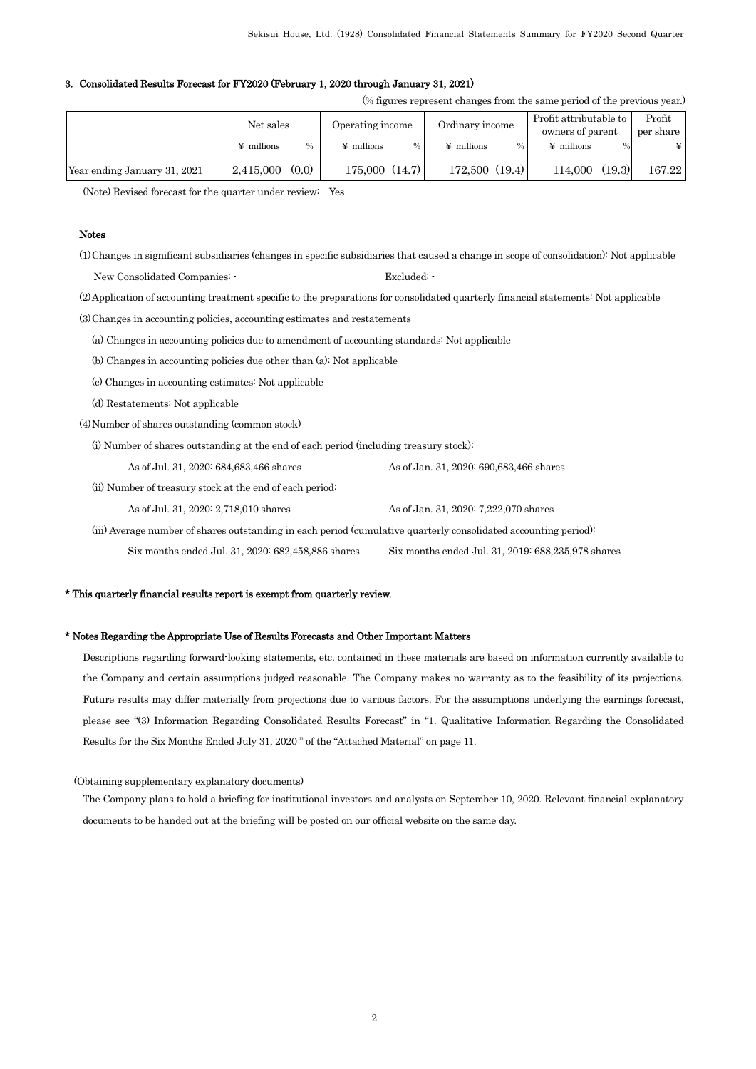#### 3. Consolidated Results Forecast for FY2020 (February 1, 2020 through January 31, 2021)

(% figures represent changes from the same period of the previous year.)

|                              | Net sales         |               | Operating income  |      | Ordinary income   |        | Profit attributable to<br>owners of parent |        | Profit<br>per share |
|------------------------------|-------------------|---------------|-------------------|------|-------------------|--------|--------------------------------------------|--------|---------------------|
|                              | $\angle$ millions | $\frac{0}{0}$ | $\angle$ millions | $\%$ | $\angle$ millions |        | $\angle$ millions                          | %      | ¥                   |
| Year ending January 31, 2021 | 2.415,000         | (0.0)         | 175,000(14.7)     |      | 172,500           | (19.4) | 114.000                                    | (19.3) | 167.22              |

(Note) Revised forecast for the quarter under review: Yes

#### Notes

(1)Changes in significant subsidiaries (changes in specific subsidiaries that caused a change in scope of consolidation): Not applicable

New Consolidated Companies:  $\cdot$  Excluded:

(2)Application of accounting treatment specific to the preparations for consolidated quarterly financial statements: Not applicable

(3)Changes in accounting policies, accounting estimates and restatements

- (a) Changes in accounting policies due to amendment of accounting standards: Not applicable
- (b) Changes in accounting policies due other than (a): Not applicable
- (c) Changes in accounting estimates: Not applicable
- (d) Restatements: Not applicable

(4)Number of shares outstanding (common stock)

(i) Number of shares outstanding at the end of each period (including treasury stock):

As of Jul. 31, 2020: 684,683,466 shares As of Jan. 31, 2020: 690,683,466 shares

(ii) Number of treasury stock at the end of each period:

As of Jul. 31, 2020: 2,718,010 shares As of Jan. 31, 2020: 7,222,070 shares

 (iii) Average number of shares outstanding in each period (cumulative quarterly consolidated accounting period): Six months ended Jul. 31, 2020: 682,458,886 shares Six months ended Jul. 31, 2019: 688,235,978 shares

#### \* This quarterly financial results report is exempt from quarterly review.

#### \* Notes Regarding the Appropriate Use of Results Forecasts and Other Important Matters

Descriptions regarding forward-looking statements, etc. contained in these materials are based on information currently available to the Company and certain assumptions judged reasonable. The Company makes no warranty as to the feasibility of its projections. Future results may differ materially from projections due to various factors. For the assumptions underlying the earnings forecast, please see "(3) Information Regarding Consolidated Results Forecast" in "1. Qualitative Information Regarding the Consolidated Results for the Six Months Ended July 31, 2020 " of the "Attached Material" on page 11.

(Obtaining supplementary explanatory documents)

The Company plans to hold a briefing for institutional investors and analysts on September 10, 2020. Relevant financial explanatory documents to be handed out at the briefing will be posted on our official website on the same day.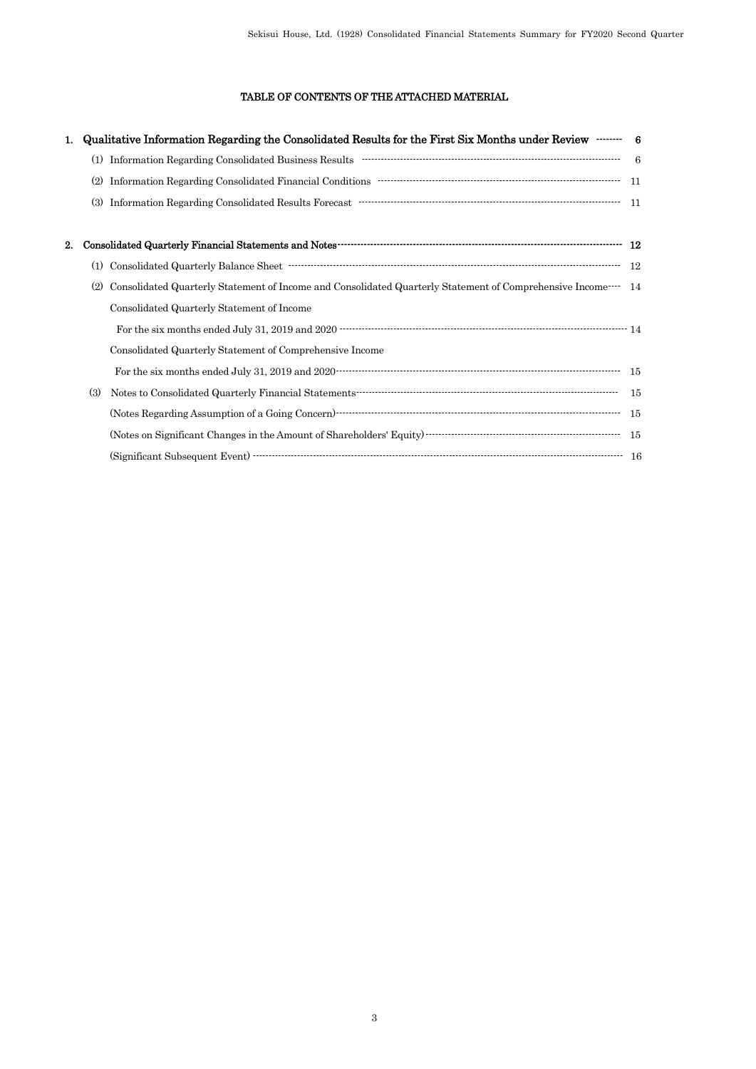# TABLE OF CONTENTS OF THE ATTACHED MATERIAL

|    |     | Qualitative Information Regarding the Consolidated Results for the First Six Months under Review …… 6                                                                                                                                                                                                                                                                        |      |
|----|-----|------------------------------------------------------------------------------------------------------------------------------------------------------------------------------------------------------------------------------------------------------------------------------------------------------------------------------------------------------------------------------|------|
|    | (1) |                                                                                                                                                                                                                                                                                                                                                                              | - 6  |
|    |     |                                                                                                                                                                                                                                                                                                                                                                              | - 11 |
|    | (3) | Information Regarding Consolidated Results Forecast ……………………………………………………………………………                                                                                                                                                                                                                                                                                            | 11   |
|    |     |                                                                                                                                                                                                                                                                                                                                                                              |      |
| 2. |     |                                                                                                                                                                                                                                                                                                                                                                              |      |
|    | (1) |                                                                                                                                                                                                                                                                                                                                                                              | - 12 |
|    | (2) | Consolidated Quarterly Statement of Income and Consolidated Quarterly Statement of Comprehensive Income <sup>14</sup>                                                                                                                                                                                                                                                        |      |
|    |     | Consolidated Quarterly Statement of Income                                                                                                                                                                                                                                                                                                                                   |      |
|    |     |                                                                                                                                                                                                                                                                                                                                                                              |      |
|    |     | Consolidated Quarterly Statement of Comprehensive Income                                                                                                                                                                                                                                                                                                                     |      |
|    |     |                                                                                                                                                                                                                                                                                                                                                                              |      |
|    | (3) |                                                                                                                                                                                                                                                                                                                                                                              | - 15 |
|    |     | $\label{thm:1} \mbox{(Notes Regarding Assumption of a Going Concern)\n\n\mbox{concern}\n\mbox{}\n\mbox{}\n\mbox{}\n\mbox{}\n\mbox{}\n\mbox{}\n\mbox{}\n\mbox{}\n\mbox{}\n\mbox{}\n\mbox{}\n\mbox{}\n\mbox{}\n\mbox{}\n\mbox{}\n\mbox{}\n\mbox{}\n\mbox{}\n\mbox{}\n\mbox{}\n\mbox{}\n\mbox{}\n\mbox{}\n\mbox{}\n\mbox{}\n\mbox{}\n\mbox{}\n\mbox{}\n\mbox{}\n\mbox{}\n\mbox$ | - 15 |
|    |     |                                                                                                                                                                                                                                                                                                                                                                              |      |
|    |     |                                                                                                                                                                                                                                                                                                                                                                              |      |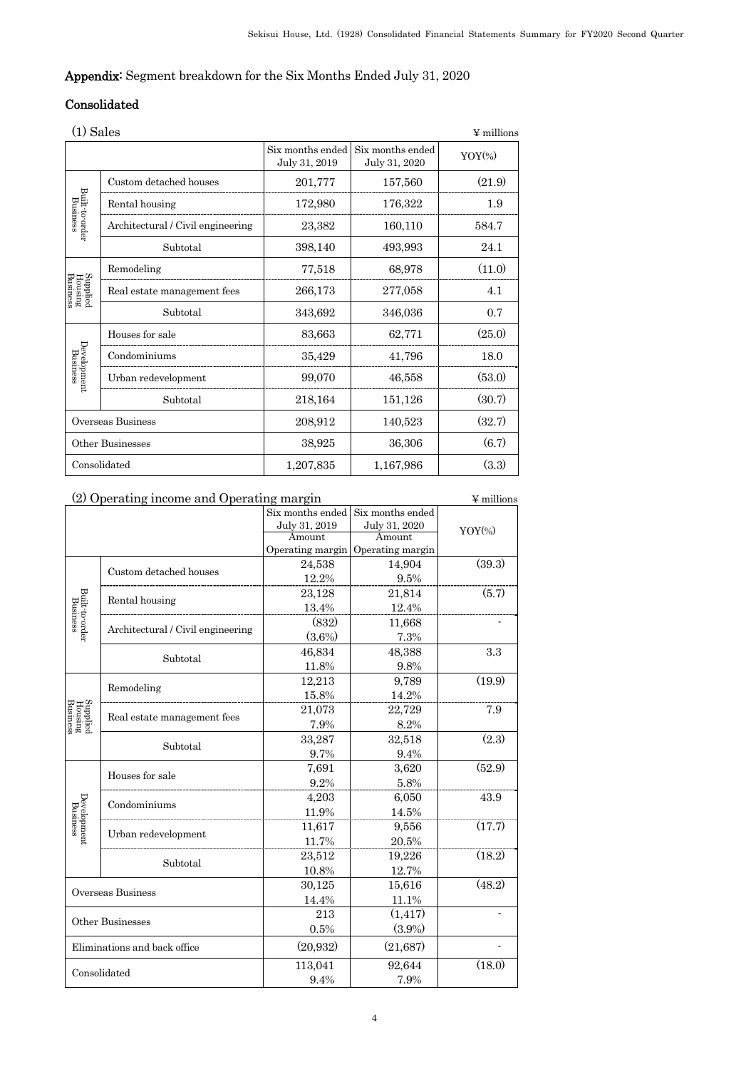# Appendix: Segment breakdown for the Six Months Ended July 31, 2020

# Consolidated

| (1) Sales                       |                                   |                                   |                                   | $\Psi$ millions |
|---------------------------------|-----------------------------------|-----------------------------------|-----------------------------------|-----------------|
|                                 |                                   | Six months ended<br>July 31, 2019 | Six months ended<br>July 31, 2020 | $YOY$ (%)       |
|                                 | Custom detached houses            | 201,777                           | 157,560                           | (21.9)          |
|                                 | Rental housing                    | 172,980                           | 176,322                           | 1.9             |
| Built-to-order<br>Business      | Architectural / Civil engineering | 23,382                            | 160,110                           | 584.7           |
|                                 | Subtotal                          | 398,140                           | 493,993                           | 24.1            |
|                                 | Remodeling                        | 77,518                            | 68,978                            | (11.0)          |
| Supplied<br>Housing<br>Business | Real estate management fees       | 266,173                           | 277,058                           | 4.1             |
|                                 | Subtotal                          | 343,692                           | 346,036                           | 0.7             |
|                                 | Houses for sale                   | 83,663                            | 62,771                            | (25.0)          |
| Development<br>Business         | Condominiums                      | 35,429                            | 41,796                            | 18.0            |
|                                 | Urban redevelopment               | 99,070                            | 46,558                            | (53.0)          |
|                                 | Subtotal                          | 218,164                           | 151,126                           | (30.7)          |
|                                 | Overseas Business                 | 208,912                           | 140,523                           | (32.7)          |
|                                 | Other Businesses                  | 38,925                            | 36,306                            | (6.7)           |
|                                 | Consolidated                      | 1,207,835                         | 1,167,986                         | (3.3)           |

| (2) Operating income and Operating margin | ¥ millions                        |                  |                                   |           |
|-------------------------------------------|-----------------------------------|------------------|-----------------------------------|-----------|
|                                           |                                   | Six months ended | Six months ended                  |           |
|                                           |                                   | July 31, 2019    | July 31, 2020                     | $YOY$ (%) |
|                                           |                                   | Amount           | Amount                            |           |
|                                           |                                   |                  | Operating margin Operating margin |           |
|                                           | Custom detached houses            | 24,538           | 14,904                            | (39.3)    |
|                                           |                                   | 12.2%            | 9.5%                              |           |
|                                           | Rental housing                    | 23,128           | 21,814                            | (5.7)     |
|                                           |                                   | 13.4%            | 12.4%                             |           |
| Built-to-order<br>Business                |                                   | (832)            | 11,668                            |           |
|                                           | Architectural / Civil engineering | $(3.6\%)$        | 7.3%                              |           |
|                                           |                                   | 46,834           | 48,388                            | 3.3       |
|                                           | Subtotal                          | 11.8%            | 9.8%                              |           |
|                                           |                                   | 12,213           | 9,789                             | (19.9)    |
|                                           | Remodeling                        | 15.8%            | 14.2%                             |           |
|                                           | Real estate management fees       | 21,073           | 22,729                            | 7.9       |
| Supplied<br>Housing<br>Business           |                                   | 7.9%             | 8.2%                              |           |
|                                           |                                   | 33,287           | 32,518                            | (2.3)     |
|                                           | Subtotal                          | 9.7%             | 9.4%                              |           |
|                                           | Houses for sale                   | 7,691            | 3,620                             | (52.9)    |
|                                           |                                   | 9.2%             | 5.8%                              |           |
| Development<br>Business                   | Condominiums                      | 4,203            | 6,050                             | 43.9      |
|                                           |                                   | 11.9%            | 14.5%                             |           |
|                                           |                                   | 11,617           | 9,556                             | (17.7)    |
|                                           | Urban redevelopment               | 11.7%            | 20.5%                             |           |
|                                           |                                   | 23,512           | 19,226                            | (18.2)    |
|                                           | Subtotal                          | 10.8%            | 12.7%                             |           |
|                                           |                                   | 30,125           | 15,616                            | (48.2)    |
| Overseas Business                         |                                   | 14.4%            | 11.1%                             |           |
|                                           |                                   | 213              | (1, 417)                          |           |
|                                           | Other Businesses                  | 0.5%             | $(3.9\%)$                         |           |
|                                           | Eliminations and back office      | (20, 932)        | (21, 687)                         |           |
|                                           | Consolidated                      | 113,041          | 92,644                            | (18.0)    |
|                                           |                                   | 9.4%             | 7.9%                              |           |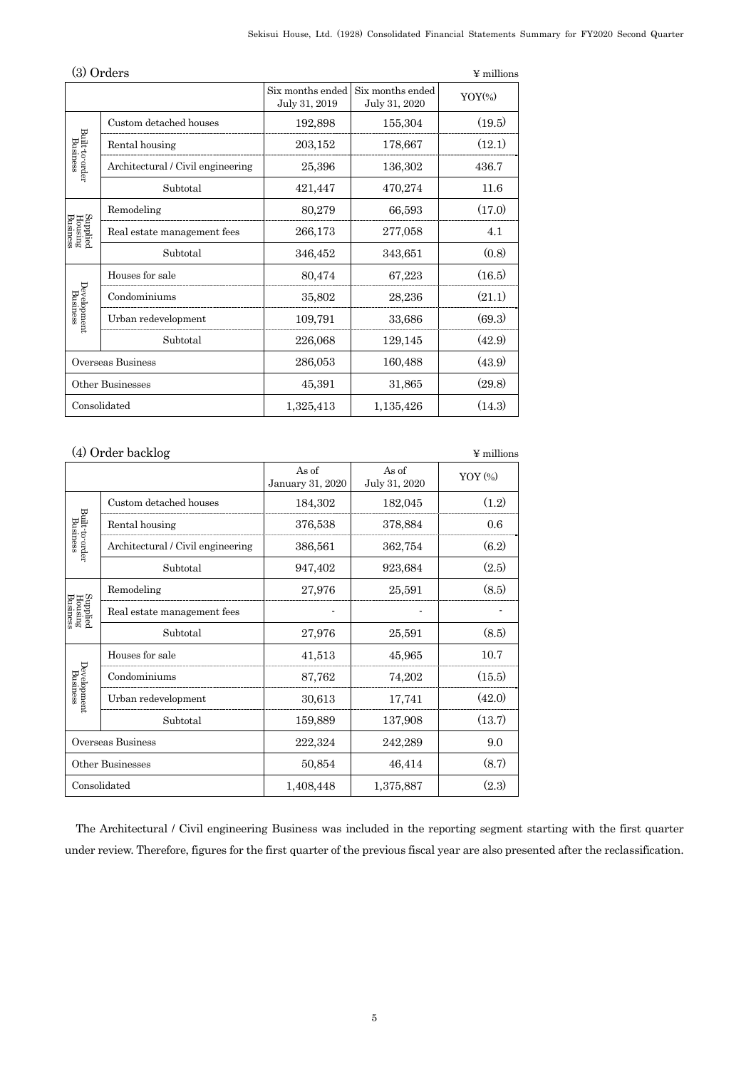| $\left(3\right)$<br>Orders<br>¥ millions |                                   |                                   |                                   |           |
|------------------------------------------|-----------------------------------|-----------------------------------|-----------------------------------|-----------|
|                                          |                                   | Six months ended<br>July 31, 2019 | Six months ended<br>July 31, 2020 | $YOY$ (%) |
|                                          | Custom detached houses            | 192,898                           | 155,304                           | (19.5)    |
|                                          | Rental housing                    | 203,152                           | 178,667                           | (12.1)    |
| Built-to-order<br>Business               | Architectural / Civil engineering | 25,396                            | 136,302                           | 436.7     |
|                                          | Subtotal                          | 421,447                           | 470,274                           | 11.6      |
|                                          | Remodeling                        | 80,279                            | 66,593                            | (17.0)    |
| Supplied<br>Housing<br>Business          | Real estate management fees       | 266,173                           | 277,058                           | 4.1       |
|                                          | Subtotal                          | 346,452                           | 343,651                           | (0.8)     |
|                                          | Houses for sale                   | 80,474                            | 67,223                            | (16.5)    |
| Development<br>Business                  | Condominiums                      | 35,802                            | 28,236                            | (21.1)    |
|                                          | Urban redevelopment               | 109,791                           | 33,686                            | (69.3)    |
|                                          | Subtotal                          | 226,068                           | 129,145                           | (42.9)    |
|                                          | Overseas Business                 | 286,053                           | 160,488                           | (43.9)    |
|                                          | Other Businesses                  | 45,391                            | 31,865                            | (29.8)    |
|                                          | Consolidated                      | 1,325,413                         | 1,135,426                         | (14.3)    |

|                                 | (4) Order backlog                 |                           |                        | $\Psi$ millions |
|---------------------------------|-----------------------------------|---------------------------|------------------------|-----------------|
|                                 |                                   | As of<br>January 31, 2020 | As of<br>July 31, 2020 | YOY (%)         |
|                                 | Custom detached houses            | 184,302                   | 182,045                | (1.2)           |
| Built-to-order<br>Business      | Rental housing                    | 376,538                   | 378,884                | 0.6             |
|                                 | Architectural / Civil engineering | 386,561                   | 362,754                | (6.2)           |
|                                 | Subtotal                          | 947,402                   | 923,684                | (2.5)           |
|                                 | Remodeling                        | 27,976                    | 25,591                 | (8.5)           |
| Supplied<br>Housing<br>Business | Real estate management fees       |                           |                        |                 |
|                                 | Subtotal                          | 27,976                    | 25,591                 | (8.5)           |
|                                 | Houses for sale                   | 41,513                    | 45,965                 | 10.7            |
| Development<br>Business         | Condominiums                      | 87,762                    | 74,202                 | (15.5)          |
|                                 | Urban redevelopment               | 30,613                    | 17,741                 | (42.0)          |
|                                 | Subtotal                          | 159,889                   | 137,908                | (13.7)          |
|                                 | Overseas Business                 | 222,324                   | 242,289                | 9.0             |
|                                 | Other Businesses                  | 50,854                    | 46,414                 | (8.7)           |
|                                 | Consolidated                      | 1,408,448                 | 1,375,887              | (2.3)           |

The Architectural / Civil engineering Business was included in the reporting segment starting with the first quarter under review. Therefore, figures for the first quarter of the previous fiscal year are also presented after the reclassification.

## 5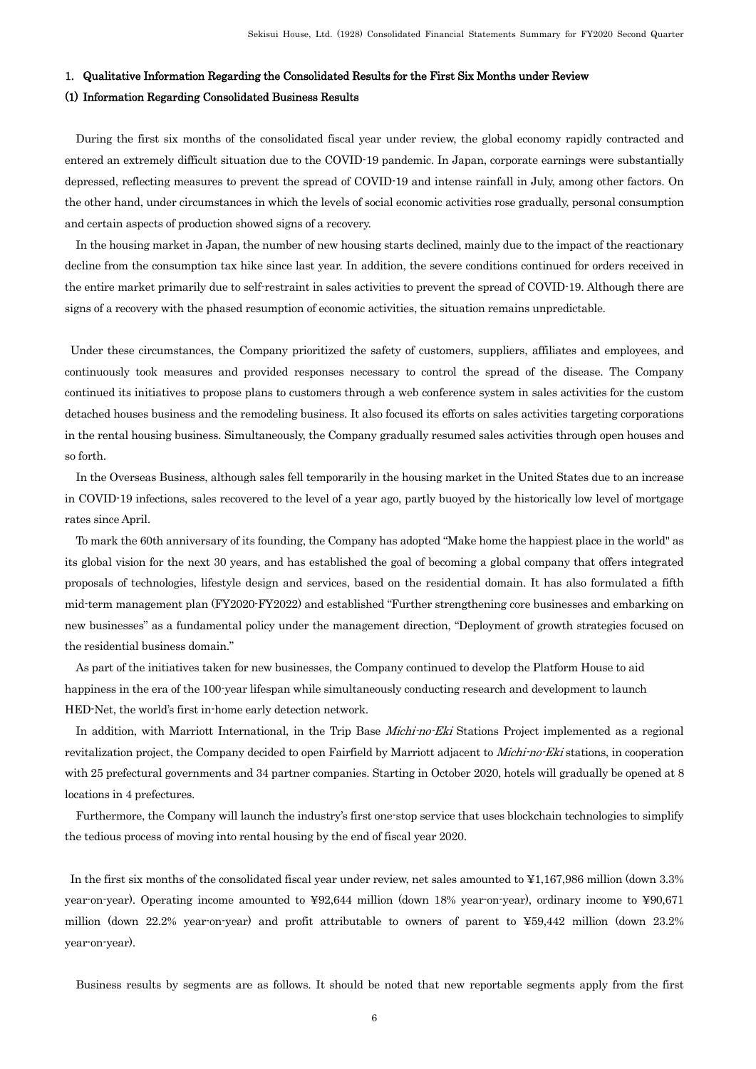#### 1. Qualitative Information Regarding the Consolidated Results for the First Six Months under Review

#### (1) Information Regarding Consolidated Business Results

During the first six months of the consolidated fiscal year under review, the global economy rapidly contracted and entered an extremely difficult situation due to the COVID-19 pandemic. In Japan, corporate earnings were substantially depressed, reflecting measures to prevent the spread of COVID-19 and intense rainfall in July, among other factors. On the other hand, under circumstances in which the levels of social economic activities rose gradually, personal consumption and certain aspects of production showed signs of a recovery.

In the housing market in Japan, the number of new housing starts declined, mainly due to the impact of the reactionary decline from the consumption tax hike since last year. In addition, the severe conditions continued for orders received in the entire market primarily due to self-restraint in sales activities to prevent the spread of COVID-19. Although there are signs of a recovery with the phased resumption of economic activities, the situation remains unpredictable.

Under these circumstances, the Company prioritized the safety of customers, suppliers, affiliates and employees, and continuously took measures and provided responses necessary to control the spread of the disease. The Company continued its initiatives to propose plans to customers through a web conference system in sales activities for the custom detached houses business and the remodeling business. It also focused its efforts on sales activities targeting corporations in the rental housing business. Simultaneously, the Company gradually resumed sales activities through open houses and so forth.

In the Overseas Business, although sales fell temporarily in the housing market in the United States due to an increase in COVID-19 infections, sales recovered to the level of a year ago, partly buoyed by the historically low level of mortgage rates since April.

To mark the 60th anniversary of its founding, the Company has adopted "Make home the happiest place in the world" as its global vision for the next 30 years, and has established the goal of becoming a global company that offers integrated proposals of technologies, lifestyle design and services, based on the residential domain. It has also formulated a fifth mid-term management plan (FY2020-FY2022) and established "Further strengthening core businesses and embarking on new businesses" as a fundamental policy under the management direction, "Deployment of growth strategies focused on the residential business domain."

As part of the initiatives taken for new businesses, the Company continued to develop the Platform House to aid happiness in the era of the 100-year lifespan while simultaneously conducting research and development to launch HED-Net, the world's first in-home early detection network.

In addition, with Marriott International, in the Trip Base *Michi-no-Eki* Stations Project implemented as a regional revitalization project, the Company decided to open Fairfield by Marriott adjacent to *Michi-no-Eki* stations, in cooperation with 25 prefectural governments and 34 partner companies. Starting in October 2020, hotels will gradually be opened at 8 locations in 4 prefectures.

Furthermore, the Company will launch the industry's first one-stop service that uses blockchain technologies to simplify the tedious process of moving into rental housing by the end of fiscal year 2020.

In the first six months of the consolidated fiscal year under review, net sales amounted to ¥1,167,986 million (down 3.3% year-on-year). Operating income amounted to ¥92,644 million (down 18% year-on-year), ordinary income to ¥90,671 million (down 22.2% year-on-year) and profit attributable to owners of parent to ¥59,442 million (down 23.2% year-on-year).

Business results by segments are as follows. It should be noted that new reportable segments apply from the first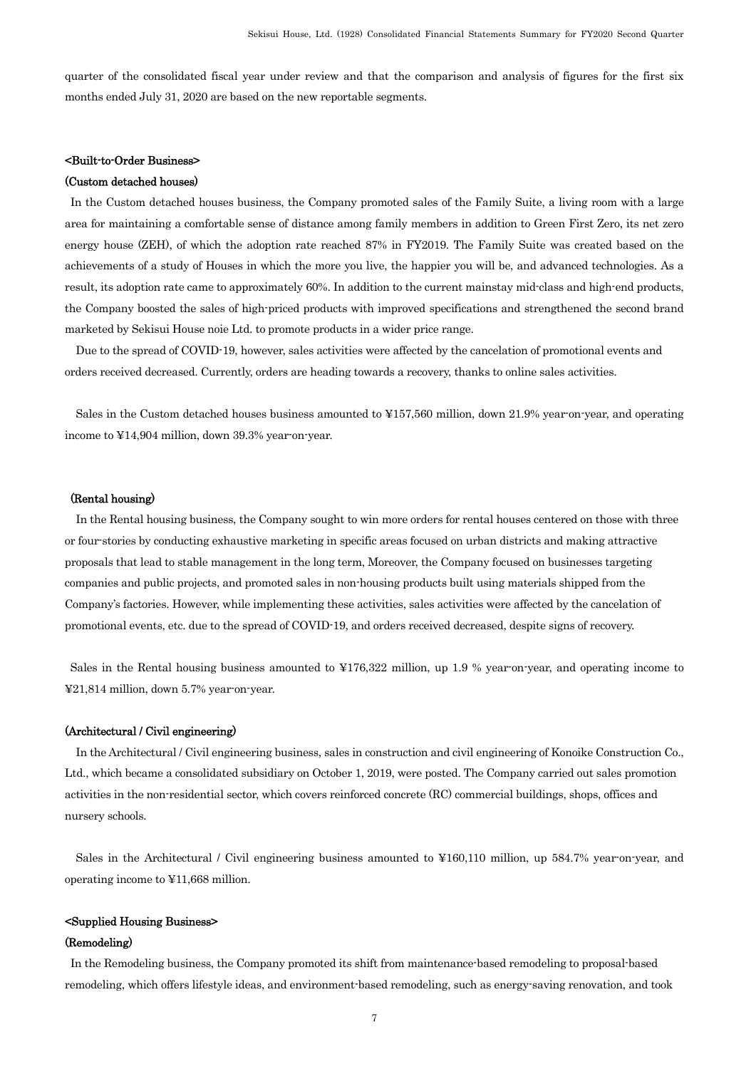quarter of the consolidated fiscal year under review and that the comparison and analysis of figures for the first six months ended July 31, 2020 are based on the new reportable segments.

## <Built-to-Order Business>

## (Custom detached houses)

In the Custom detached houses business, the Company promoted sales of the Family Suite, a living room with a large area for maintaining a comfortable sense of distance among family members in addition to Green First Zero, its net zero energy house (ZEH), of which the adoption rate reached 87% in FY2019. The Family Suite was created based on the achievements of a study of Houses in which the more you live, the happier you will be, and advanced technologies. As a result, its adoption rate came to approximately 60%. In addition to the current mainstay mid-class and high-end products, the Company boosted the sales of high-priced products with improved specifications and strengthened the second brand marketed by Sekisui House noie Ltd. to promote products in a wider price range.

Due to the spread of COVID-19, however, sales activities were affected by the cancelation of promotional events and orders received decreased. Currently, orders are heading towards a recovery, thanks to online sales activities.

Sales in the Custom detached houses business amounted to ¥157,560 million, down 21.9% year-on-year, and operating income to ¥14,904 million, down 39.3% year-on-year.

#### (Rental housing)

In the Rental housing business, the Company sought to win more orders for rental houses centered on those with three or four-stories by conducting exhaustive marketing in specific areas focused on urban districts and making attractive proposals that lead to stable management in the long term, Moreover, the Company focused on businesses targeting companies and public projects, and promoted sales in non-housing products built using materials shipped from the Company's factories. However, while implementing these activities, sales activities were affected by the cancelation of promotional events, etc. due to the spread of COVID-19, and orders received decreased, despite signs of recovery.

Sales in the Rental housing business amounted to ¥176,322 million, up 1.9 % year-on-year, and operating income to ¥21,814 million, down 5.7% year-on-year.

### (Architectural / Civil engineering)

In the Architectural / Civil engineering business, sales in construction and civil engineering of Konoike Construction Co., Ltd., which became a consolidated subsidiary on October 1, 2019, were posted. The Company carried out sales promotion activities in the non-residential sector, which covers reinforced concrete (RC) commercial buildings, shops, offices and nursery schools.

Sales in the Architectural / Civil engineering business amounted to ¥160,110 million, up 584.7% year-on-year, and operating income to ¥11,668 million.

## <Supplied Housing Business>

#### (Remodeling)

In the Remodeling business, the Company promoted its shift from maintenance-based remodeling to proposal-based remodeling, which offers lifestyle ideas, and environment-based remodeling, such as energy-saving renovation, and took

7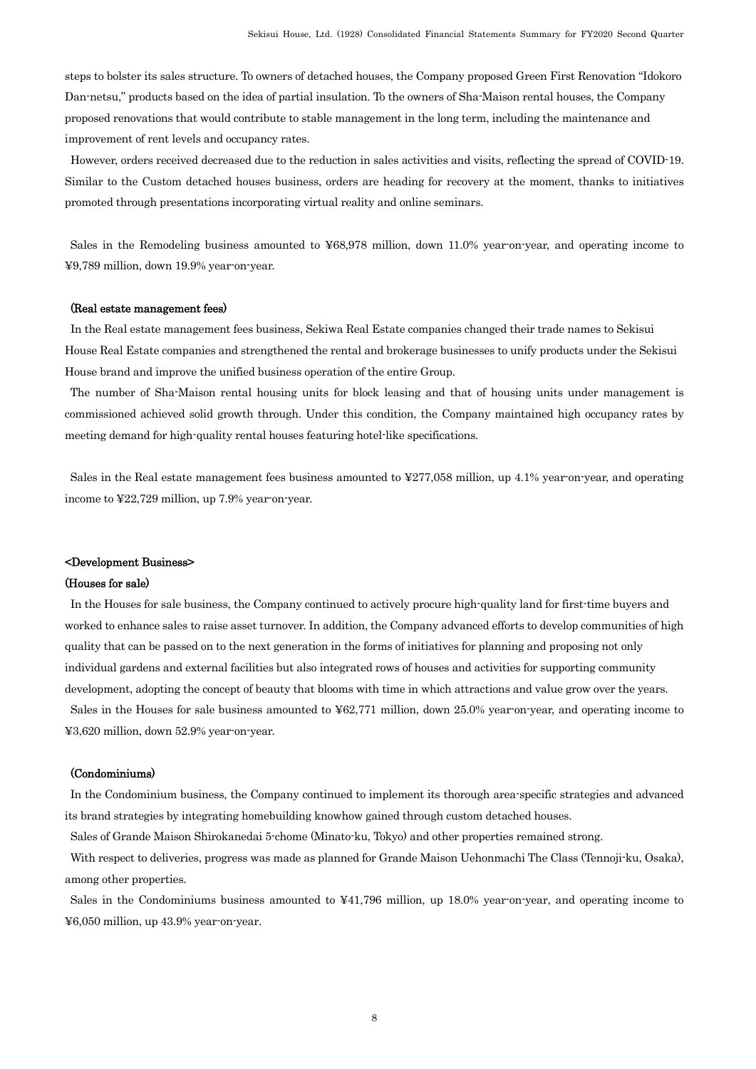steps to bolster its sales structure. To owners of detached houses, the Company proposed Green First Renovation "Idokoro Dan-netsu," products based on the idea of partial insulation. To the owners of Sha-Maison rental houses, the Company proposed renovations that would contribute to stable management in the long term, including the maintenance and improvement of rent levels and occupancy rates.

However, orders received decreased due to the reduction in sales activities and visits, reflecting the spread of COVID-19. Similar to the Custom detached houses business, orders are heading for recovery at the moment, thanks to initiatives promoted through presentations incorporating virtual reality and online seminars.

Sales in the Remodeling business amounted to ¥68,978 million, down 11.0% year-on-year, and operating income to ¥9,789 million, down 19.9% year-on-year.

#### (Real estate management fees)

In the Real estate management fees business, Sekiwa Real Estate companies changed their trade names to Sekisui House Real Estate companies and strengthened the rental and brokerage businesses to unify products under the Sekisui House brand and improve the unified business operation of the entire Group.

The number of Sha-Maison rental housing units for block leasing and that of housing units under management is commissioned achieved solid growth through. Under this condition, the Company maintained high occupancy rates by meeting demand for high-quality rental houses featuring hotel-like specifications.

Sales in the Real estate management fees business amounted to ¥277,058 million, up 4.1% year-on-year, and operating income to ¥22,729 million, up 7.9% year-on-year.

#### <Development Business>

#### (Houses for sale)

In the Houses for sale business, the Company continued to actively procure high-quality land for first-time buyers and worked to enhance sales to raise asset turnover. In addition, the Company advanced efforts to develop communities of high quality that can be passed on to the next generation in the forms of initiatives for planning and proposing not only individual gardens and external facilities but also integrated rows of houses and activities for supporting community development, adopting the concept of beauty that blooms with time in which attractions and value grow over the years. Sales in the Houses for sale business amounted to ¥62,771 million, down 25.0% year-on-year, and operating income to ¥3,620 million, down 52.9% year-on-year.

### (Condominiums)

In the Condominium business, the Company continued to implement its thorough area-specific strategies and advanced its brand strategies by integrating homebuilding knowhow gained through custom detached houses.

Sales of Grande Maison Shirokanedai 5-chome (Minato-ku, Tokyo) and other properties remained strong.

With respect to deliveries, progress was made as planned for Grande Maison Uehonmachi The Class (Tennoji-ku, Osaka), among other properties.

Sales in the Condominiums business amounted to ¥41,796 million, up 18.0% year-on-year, and operating income to ¥6,050 million, up 43.9% year-on-year.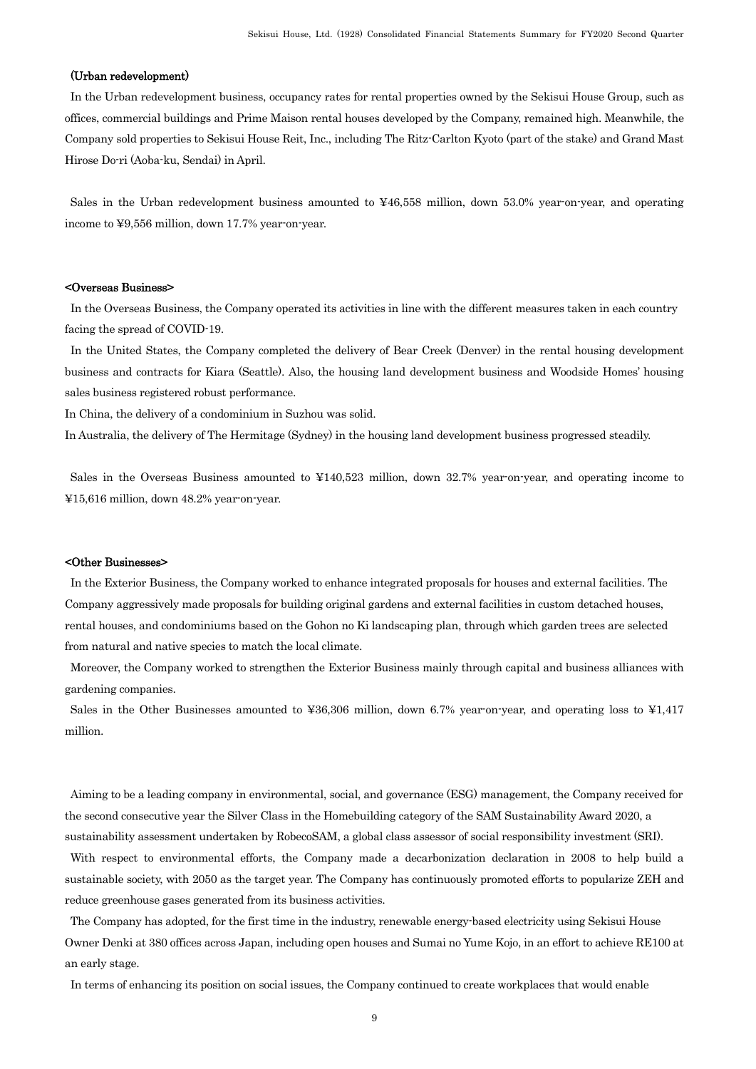### (Urban redevelopment)

In the Urban redevelopment business, occupancy rates for rental properties owned by the Sekisui House Group, such as offices, commercial buildings and Prime Maison rental houses developed by the Company, remained high. Meanwhile, the Company sold properties to Sekisui House Reit, Inc., including The Ritz-Carlton Kyoto (part of the stake) and Grand Mast Hirose Do-ri (Aoba-ku, Sendai) in April.

Sales in the Urban redevelopment business amounted to ¥46,558 million, down 53.0% year-on-year, and operating income to ¥9,556 million, down 17.7% year-on-year.

#### <Overseas Business>

In the Overseas Business, the Company operated its activities in line with the different measures taken in each country facing the spread of COVID-19.

In the United States, the Company completed the delivery of Bear Creek (Denver) in the rental housing development business and contracts for Kiara (Seattle). Also, the housing land development business and Woodside Homes' housing sales business registered robust performance.

In China, the delivery of a condominium in Suzhou was solid.

In Australia, the delivery of The Hermitage (Sydney) in the housing land development business progressed steadily.

Sales in the Overseas Business amounted to ¥140,523 million, down 32.7% year-on-year, and operating income to ¥15,616 million, down 48.2% year-on-year.

#### <Other Businesses>

In the Exterior Business, the Company worked to enhance integrated proposals for houses and external facilities. The Company aggressively made proposals for building original gardens and external facilities in custom detached houses, rental houses, and condominiums based on the Gohon no Ki landscaping plan, through which garden trees are selected from natural and native species to match the local climate.

Moreover, the Company worked to strengthen the Exterior Business mainly through capital and business alliances with gardening companies.

Sales in the Other Businesses amounted to ¥36,306 million, down 6.7% year-on-year, and operating loss to ¥1,417 million.

Aiming to be a leading company in environmental, social, and governance (ESG) management, the Company received for the second consecutive year the Silver Class in the Homebuilding category of the SAM Sustainability Award 2020, a sustainability assessment undertaken by RobecoSAM, a global class assessor of social responsibility investment (SRI).

With respect to environmental efforts, the Company made a decarbonization declaration in 2008 to help build a sustainable society, with 2050 as the target year. The Company has continuously promoted efforts to popularize ZEH and reduce greenhouse gases generated from its business activities.

The Company has adopted, for the first time in the industry, renewable energy-based electricity using Sekisui House Owner Denki at 380 offices across Japan, including open houses and Sumai no Yume Kojo, in an effort to achieve RE100 at an early stage.

In terms of enhancing its position on social issues, the Company continued to create workplaces that would enable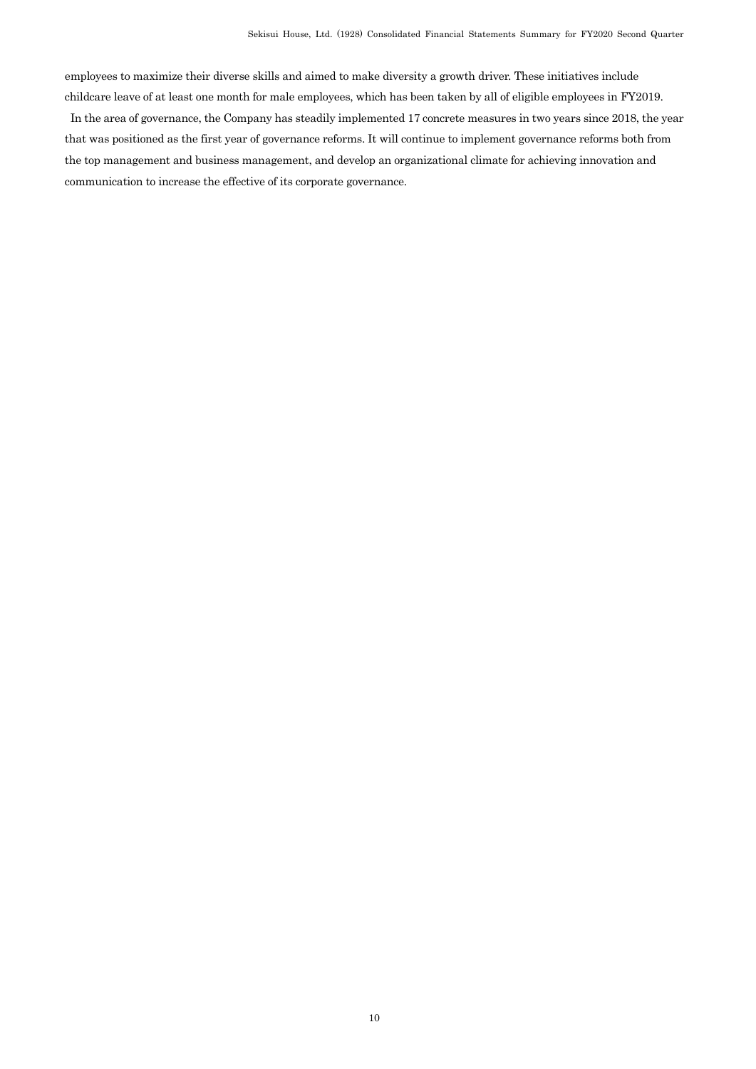employees to maximize their diverse skills and aimed to make diversity a growth driver. These initiatives include childcare leave of at least one month for male employees, which has been taken by all of eligible employees in FY2019.

In the area of governance, the Company has steadily implemented 17 concrete measures in two years since 2018, the year that was positioned as the first year of governance reforms. It will continue to implement governance reforms both from the top management and business management, and develop an organizational climate for achieving innovation and communication to increase the effective of its corporate governance.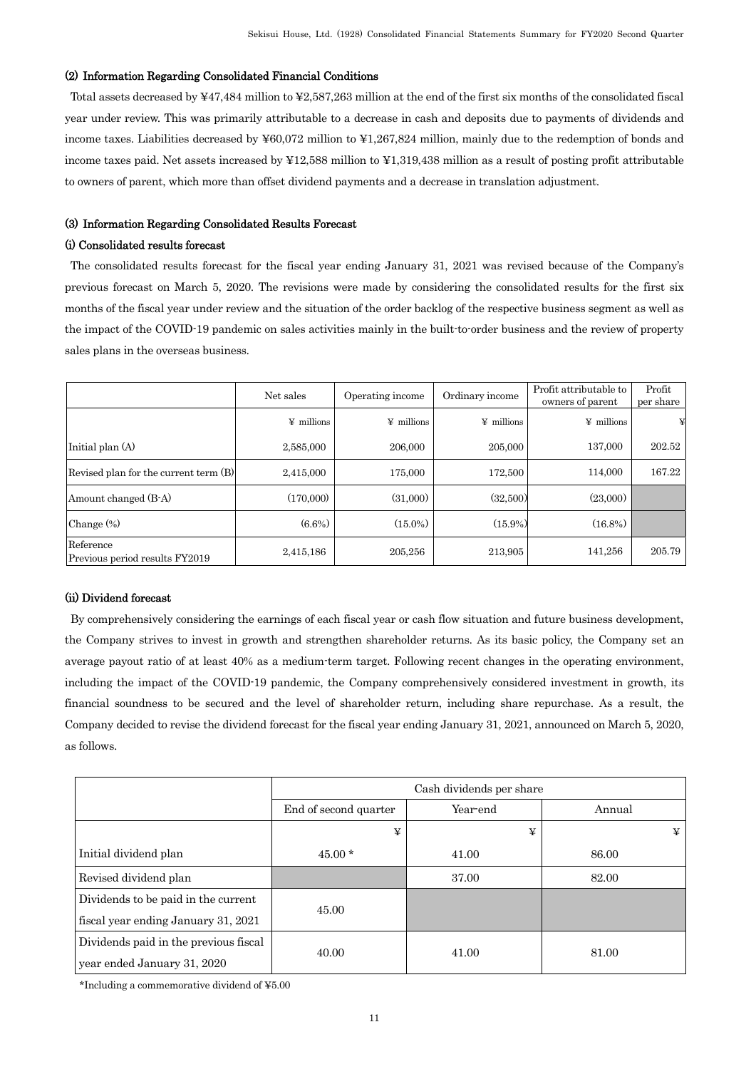## (2) Information Regarding Consolidated Financial Conditions

Total assets decreased by ¥47,484 million to ¥2,587,263 million at the end of the first six months of the consolidated fiscal year under review. This was primarily attributable to a decrease in cash and deposits due to payments of dividends and income taxes. Liabilities decreased by ¥60,072 million to ¥1,267,824 million, mainly due to the redemption of bonds and income taxes paid. Net assets increased by ¥12,588 million to ¥1,319,438 million as a result of posting profit attributable to owners of parent, which more than offset dividend payments and a decrease in translation adjustment.

## (3) Information Regarding Consolidated Results Forecast

## (i) Consolidated results forecast

The consolidated results forecast for the fiscal year ending January 31, 2021 was revised because of the Company's previous forecast on March 5, 2020. The revisions were made by considering the consolidated results for the first six months of the fiscal year under review and the situation of the order backlog of the respective business segment as well as the impact of the COVID-19 pandemic on sales activities mainly in the built-to-order business and the review of property sales plans in the overseas business.

|                                             | Net sales         | Ordinary income<br>Operating income |                   | Profit attributable to<br>owners of parent | Profit<br>per share |
|---------------------------------------------|-------------------|-------------------------------------|-------------------|--------------------------------------------|---------------------|
|                                             | $\angle$ millions | $\angle$ millions                   | $\angle$ millions | $\angle$ millions                          |                     |
| Initial plan (A)                            | 2,585,000         | 206,000                             | 205,000           | 137,000                                    | 202.52              |
| Revised plan for the current term (B)       | 2.415,000         | 175,000                             | 172,500           | 114,000                                    | 167.22              |
| Amount changed (B-A)                        | (170,000)         | (31,000)                            | (32,500)          | (23,000)                                   |                     |
| Change $(\%)$                               | $(6.6\%)$         | $(15.0\%)$                          | $(15.9\%)$        | $(16.8\%)$                                 |                     |
| Reference<br>Previous period results FY2019 | 2,415,186         | 205,256                             | 213,905           | 141,256                                    | 205.79              |

### (ii) Dividend forecast

By comprehensively considering the earnings of each fiscal year or cash flow situation and future business development, the Company strives to invest in growth and strengthen shareholder returns. As its basic policy, the Company set an average payout ratio of at least 40% as a medium-term target. Following recent changes in the operating environment, including the impact of the COVID-19 pandemic, the Company comprehensively considered investment in growth, its financial soundness to be secured and the level of shareholder return, including share repurchase. As a result, the Company decided to revise the dividend forecast for the fiscal year ending January 31, 2021, announced on March 5, 2020, as follows.

|                                       | Cash dividends per share |          |        |
|---------------------------------------|--------------------------|----------|--------|
|                                       | End of second quarter    | Year-end | Annual |
|                                       | ¥                        | ¥        | ¥      |
| Initial dividend plan                 | $45.00*$                 | 41.00    | 86.00  |
| Revised dividend plan                 |                          | 37.00    | 82.00  |
| Dividends to be paid in the current   | 45.00                    |          |        |
| fiscal year ending January 31, 2021   |                          |          |        |
| Dividends paid in the previous fiscal |                          | 41.00    | 81.00  |
| year ended January 31, 2020           | 40.00                    |          |        |

\*Including a commemorative dividend of ¥5.00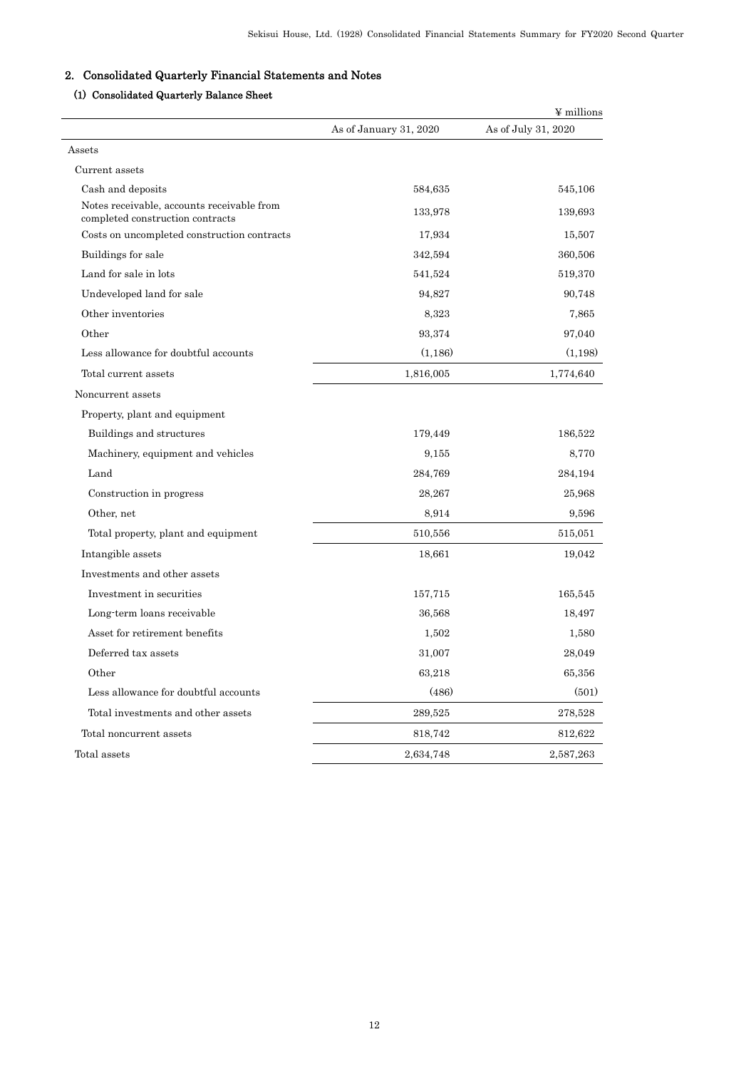# 2. Consolidated Quarterly Financial Statements and Notes

# (1) Consolidated Quarterly Balance Sheet

|                                                                                |                        | ¥ millions          |
|--------------------------------------------------------------------------------|------------------------|---------------------|
|                                                                                | As of January 31, 2020 | As of July 31, 2020 |
| Assets                                                                         |                        |                     |
| Current assets                                                                 |                        |                     |
| Cash and deposits                                                              | 584,635                | 545,106             |
| Notes receivable, accounts receivable from<br>completed construction contracts | 133,978                | 139,693             |
| Costs on uncompleted construction contracts                                    | 17,934                 | 15,507              |
| Buildings for sale                                                             | 342,594                | 360,506             |
| Land for sale in lots                                                          | 541,524                | 519,370             |
| Undeveloped land for sale                                                      | 94,827                 | 90,748              |
| Other inventories                                                              | 8,323                  | 7,865               |
| Other                                                                          | 93.374                 | 97,040              |
| Less allowance for doubtful accounts                                           | (1,186)                | (1, 198)            |
| Total current assets                                                           | 1,816,005              | 1,774,640           |
| Noncurrent assets                                                              |                        |                     |
| Property, plant and equipment                                                  |                        |                     |
| Buildings and structures                                                       | 179,449                | 186,522             |
| Machinery, equipment and vehicles                                              | 9,155                  | 8,770               |
| Land                                                                           | 284,769                | 284,194             |
| Construction in progress                                                       | 28,267                 | 25,968              |
| Other, net                                                                     | 8,914                  | 9,596               |
| Total property, plant and equipment                                            | 510,556                | 515,051             |
| Intangible assets                                                              | 18,661                 | 19,042              |
| Investments and other assets                                                   |                        |                     |
| Investment in securities                                                       | 157,715                | 165,545             |
| Long term loans receivable                                                     | 36.568                 | 18,497              |
| Asset for retirement benefits                                                  | 1,502                  | 1,580               |
| Deferred tax assets                                                            | 31,007                 | 28,049              |
| Other                                                                          | 63,218                 | 65,356              |
| Less allowance for doubtful accounts                                           | (486)                  | (501)               |
| Total investments and other assets                                             | 289,525                | 278,528             |
| Total noncurrent assets                                                        | 818,742                | 812,622             |
| Total assets                                                                   | 2,634,748              | 2,587,263           |
|                                                                                |                        |                     |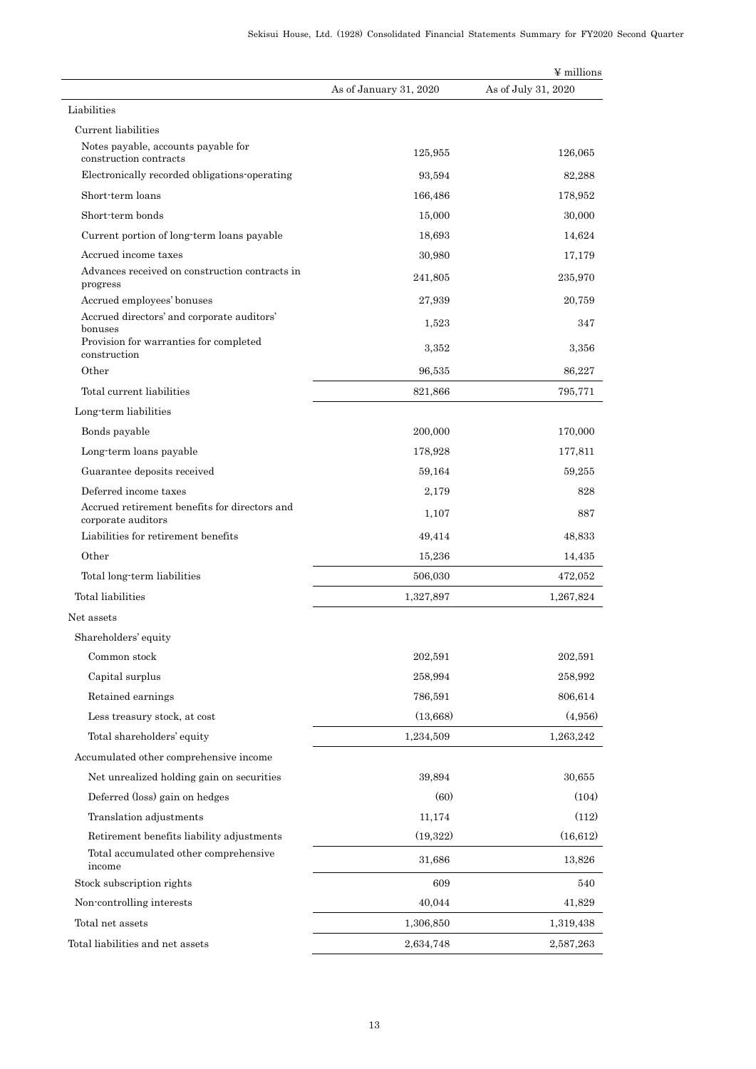|                                                                     |                        | ¥ millions          |
|---------------------------------------------------------------------|------------------------|---------------------|
|                                                                     | As of January 31, 2020 | As of July 31, 2020 |
| Liabilities                                                         |                        |                     |
| Current liabilities                                                 |                        |                     |
| Notes payable, accounts payable for<br>construction contracts       | 125,955                | 126,065             |
| Electronically recorded obligations operating                       | 93,594                 | 82,288              |
| Short-term loans                                                    | 166,486                | 178,952             |
| Short-term bonds                                                    | 15,000                 | 30,000              |
| Current portion of long-term loans payable                          | 18,693                 | 14,624              |
| Accrued income taxes                                                | 30,980                 | 17,179              |
| Advances received on construction contracts in<br>progress          | 241,805                | 235,970             |
| Accrued employees' bonuses                                          | 27,939                 | 20,759              |
| Accrued directors' and corporate auditors'<br>bonuses               | 1,523                  | 347                 |
| Provision for warranties for completed<br>construction              | 3,352                  | 3,356               |
| Other                                                               | 96,535                 | 86,227              |
| Total current liabilities                                           | 821,866                | 795,771             |
| Long-term liabilities                                               |                        |                     |
| Bonds payable                                                       | 200,000                | 170,000             |
| Long-term loans payable                                             | 178,928                | 177,811             |
| Guarantee deposits received                                         | 59,164                 | 59,255              |
| Deferred income taxes                                               | 2,179                  | 828                 |
| Accrued retirement benefits for directors and<br>corporate auditors | 1,107                  | 887                 |
| Liabilities for retirement benefits                                 | 49,414                 | 48,833              |
| Other                                                               | 15,236                 | 14,435              |
| Total long-term liabilities                                         | 506,030                | 472,052             |
| Total liabilities                                                   | 1,327,897              | 1,267,824           |
| Net assets                                                          |                        |                     |
| Shareholders' equity                                                |                        |                     |
| Common stock                                                        | 202,591                | 202,591             |
| Capital surplus                                                     | 258,994                | 258,992             |
| Retained earnings                                                   | 786,591                | 806,614             |
| Less treasury stock, at cost                                        | (13,668)               | (4,956)             |
| Total shareholders' equity                                          | 1,234,509              | 1,263,242           |
| Accumulated other comprehensive income                              |                        |                     |
| Net unrealized holding gain on securities                           | 39,894                 | 30,655              |
| Deferred (loss) gain on hedges                                      | (60)                   | (104)               |
| Translation adjustments                                             | 11,174                 | (112)               |
| Retirement benefits liability adjustments                           | (19,322)               | (16, 612)           |
| Total accumulated other comprehensive<br>income                     | 31,686                 | 13,826              |
| Stock subscription rights                                           | 609                    | 540                 |
| Non-controlling interests                                           | 40,044                 | 41,829              |
| Total net assets                                                    | 1,306,850              | 1,319,438           |
| Total liabilities and net assets                                    | 2,634,748              | 2,587,263           |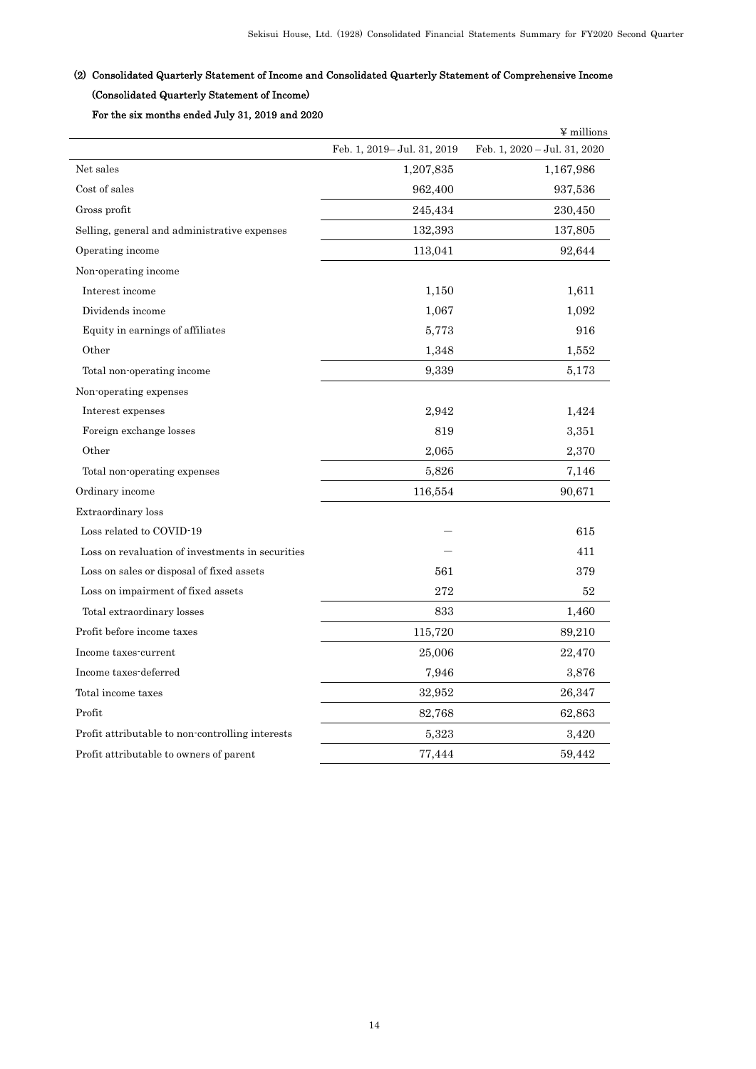# (2) Consolidated Quarterly Statement of Income and Consolidated Quarterly Statement of Comprehensive Income (Consolidated Quarterly Statement of Income)

# For the six months ended July 31, 2019 and 2020

|                                                  |                             | ¥ millions                   |
|--------------------------------------------------|-----------------------------|------------------------------|
|                                                  | Feb. 1, 2019- Jul. 31, 2019 | Feb. 1, 2020 - Jul. 31, 2020 |
| Net sales                                        | 1,207,835                   | 1,167,986                    |
| Cost of sales                                    | 962,400                     | 937,536                      |
| Gross profit                                     | 245,434                     | 230,450                      |
| Selling, general and administrative expenses     | 132,393                     | 137,805                      |
| Operating income                                 | 113,041                     | 92,644                       |
| Non-operating income                             |                             |                              |
| Interest income                                  | 1,150                       | 1,611                        |
| Dividends income                                 | 1,067                       | 1,092                        |
| Equity in earnings of affiliates                 | 5,773                       | 916                          |
| Other                                            | 1,348                       | 1,552                        |
| Total non-operating income                       | 9,339                       | 5,173                        |
| Non-operating expenses                           |                             |                              |
| Interest expenses                                | 2,942                       | 1,424                        |
| Foreign exchange losses                          | 819                         | 3,351                        |
| Other                                            | 2,065                       | 2,370                        |
| Total non-operating expenses                     | 5,826                       | 7,146                        |
| Ordinary income                                  | 116,554                     | 90,671                       |
| <b>Extraordinary</b> loss                        |                             |                              |
| Loss related to COVID-19                         |                             | 615                          |
| Loss on revaluation of investments in securities |                             | 411                          |
| Loss on sales or disposal of fixed assets        | 561                         | 379                          |
| Loss on impairment of fixed assets               | 272                         | 52                           |
| Total extraordinary losses                       | 833                         | 1,460                        |
| Profit before income taxes                       | 115,720                     | 89,210                       |
| Income taxes-current                             | 25,006                      | 22,470                       |
| Income taxes-deferred                            | 7,946                       | 3,876                        |
| Total income taxes                               | 32,952                      | 26,347                       |
| Profit                                           | 82,768                      | 62,863                       |
| Profit attributable to non-controlling interests | 5,323                       | 3,420                        |
| Profit attributable to owners of parent          | 77,444                      | 59,442                       |
|                                                  |                             |                              |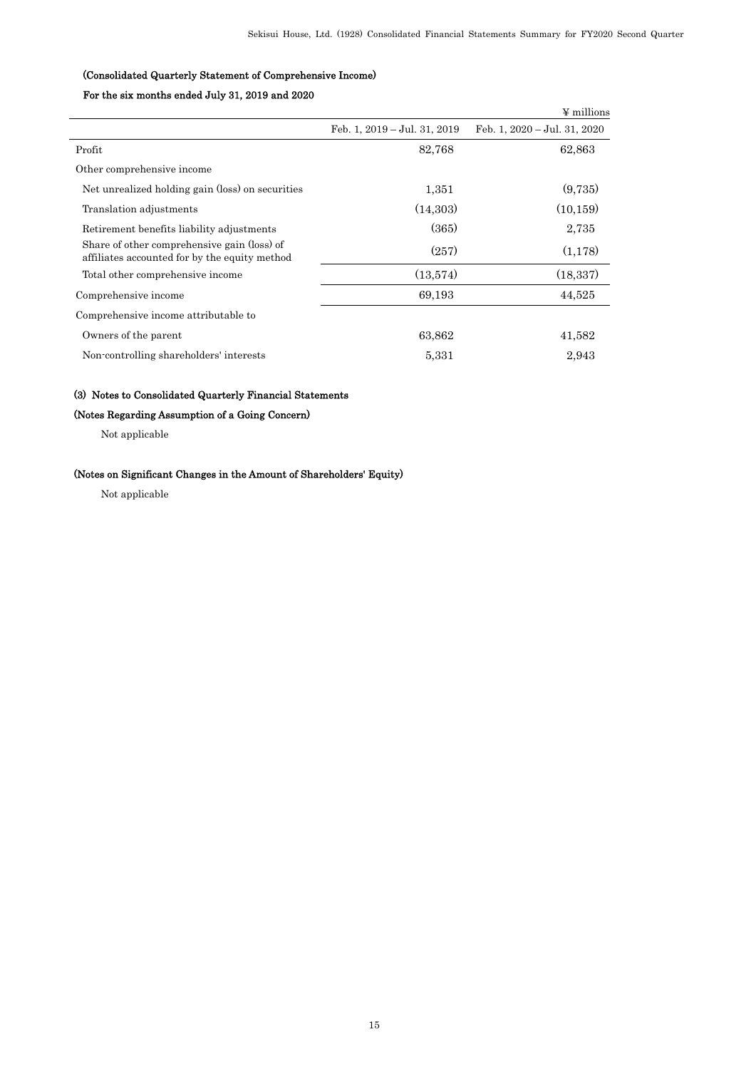## (Consolidated Quarterly Statement of Comprehensive Income)

# For the six months ended July 31, 2019 and 2020

|                                                                                              |                              | ¥ millions                   |
|----------------------------------------------------------------------------------------------|------------------------------|------------------------------|
|                                                                                              | Feb. 1, 2019 - Jul. 31, 2019 | Feb. 1, 2020 - Jul. 31, 2020 |
| Profit                                                                                       | 82,768                       | 62,863                       |
| Other comprehensive income                                                                   |                              |                              |
| Net unrealized holding gain (loss) on securities                                             | 1,351                        | (9,735)                      |
| Translation adjustments                                                                      | (14,303)                     | (10, 159)                    |
| Retirement benefits liability adjustments                                                    | (365)                        | 2,735                        |
| Share of other comprehensive gain (loss) of<br>affiliates accounted for by the equity method | (257)                        | (1,178)                      |
| Total other comprehensive income                                                             | (13,574)                     | (18, 337)                    |
| Comprehensive income                                                                         | 69,193                       | 44,525                       |
| Comprehensive income attributable to                                                         |                              |                              |
| Owners of the parent                                                                         | 63,862                       | 41,582                       |
| Non-controlling shareholders' interests                                                      | 5,331                        | 2,943                        |
|                                                                                              |                              |                              |

## (3) Notes to Consolidated Quarterly Financial Statements

# (Notes Regarding Assumption of a Going Concern)

Not applicable

## (Notes on Significant Changes in the Amount of Shareholders' Equity)

Not applicable